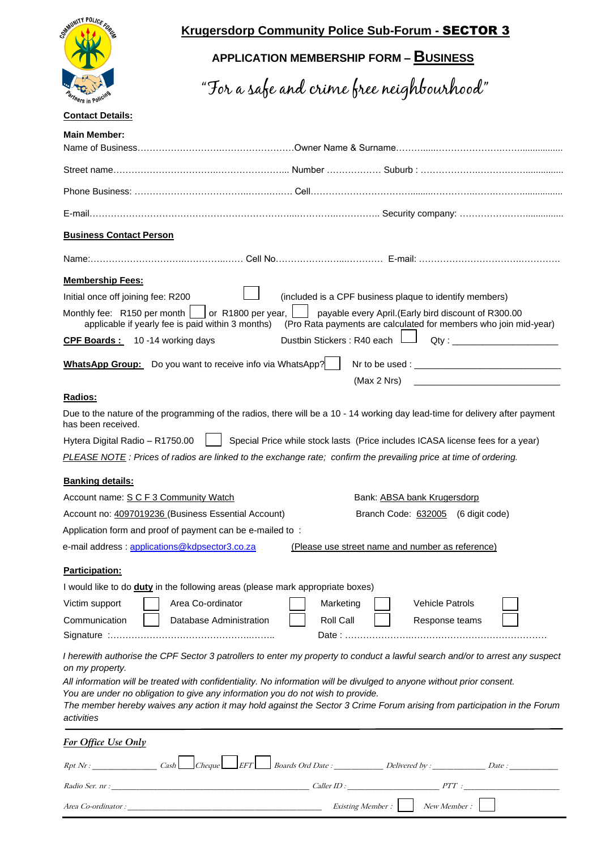

# **Krugersdorp Community Police Sub-Forum -** SECTOR 3

# **APPLICATION MEMBERSHIP FORM – BUSINESS**

"For a safe and crime free neighbourhood"

### **Contact Details:**

| <b>Business Contact Person</b>                                                                |                                      |                                                                                                                                                                                                                               |
|-----------------------------------------------------------------------------------------------|--------------------------------------|-------------------------------------------------------------------------------------------------------------------------------------------------------------------------------------------------------------------------------|
|                                                                                               |                                      |                                                                                                                                                                                                                               |
| <b>Membership Fees:</b>                                                                       |                                      |                                                                                                                                                                                                                               |
| Initial once off joining fee: R200                                                            |                                      | (included is a CPF business plaque to identify members)                                                                                                                                                                       |
| Monthly fee: R150 per month [<br>applicable if yearly fee is paid within 3 months)            | or R1800 per year,                   | payable every April.(Early bird discount of R300.00<br>(Pro Rata payments are calculated for members who join mid-year)                                                                                                       |
| CPF Boards: 10 -14 working days                                                               | Dustbin Stickers : R40 each          | Qty:                                                                                                                                                                                                                          |
| <b>WhatsApp Group:</b> Do you want to receive info via WhatsApp?                              |                                      |                                                                                                                                                                                                                               |
|                                                                                               |                                      | (Max 2 Nrs)<br>the control of the control of the control of the control of the control of                                                                                                                                     |
| Radios:                                                                                       |                                      |                                                                                                                                                                                                                               |
| has been received.                                                                            |                                      | Due to the nature of the programming of the radios, there will be a 10 - 14 working day lead-time for delivery after payment                                                                                                  |
| Hytera Digital Radio - R1750.00                                                               |                                      | Special Price while stock lasts (Price includes ICASA license fees for a year)                                                                                                                                                |
|                                                                                               |                                      | PLEASE NOTE: Prices of radios are linked to the exchange rate; confirm the prevailing price at time of ordering.                                                                                                              |
|                                                                                               |                                      |                                                                                                                                                                                                                               |
| <b>Banking details:</b><br>Account name: S C F 3 Community Watch                              |                                      | Bank: ABSA bank Krugersdorp                                                                                                                                                                                                   |
| Account no: 4097019236 (Business Essential Account)                                           |                                      | Branch Code: 632005 (6 digit code)                                                                                                                                                                                            |
| Application form and proof of payment can be e-mailed to:                                     |                                      |                                                                                                                                                                                                                               |
| e-mail address : applications@kdpsector3.co.za                                                |                                      | (Please use street name and number as reference)                                                                                                                                                                              |
|                                                                                               |                                      |                                                                                                                                                                                                                               |
| Participation:                                                                                |                                      |                                                                                                                                                                                                                               |
| I would like to do duty in the following areas (please mark appropriate boxes)                |                                      |                                                                                                                                                                                                                               |
| Area Co-ordinator<br>Victim support                                                           | Marketing                            | <b>Vehicle Patrols</b>                                                                                                                                                                                                        |
| Communication                                                                                 | Database Administration<br>Roll Call | Response teams                                                                                                                                                                                                                |
|                                                                                               |                                      |                                                                                                                                                                                                                               |
|                                                                                               |                                      |                                                                                                                                                                                                                               |
|                                                                                               |                                      | I herewith authorise the CPF Sector 3 patrollers to enter my property to conduct a lawful search and/or to arrest any suspect                                                                                                 |
| on my property.                                                                               |                                      |                                                                                                                                                                                                                               |
|                                                                                               |                                      | All information will be treated with confidentiality. No information will be divulged to anyone without prior consent.                                                                                                        |
|                                                                                               |                                      | The member hereby waives any action it may hold against the Sector 3 Crime Forum arising from participation in the Forum                                                                                                      |
| You are under no obligation to give any information you do not wish to provide.<br>activities |                                      |                                                                                                                                                                                                                               |
| For Office Use Only                                                                           |                                      |                                                                                                                                                                                                                               |
|                                                                                               |                                      | $Rpt\ Nr$ : Cash Cheque EFT Boards Ord Date : Delivered by : Date :                                                                                                                                                           |
|                                                                                               |                                      | Radio Ser. nr : The Caller ID : The Caller ID : The Caller ID : The Caller ID : The Caller ID : The Caller ID : The Caller ID : The Caller ID : The Caller ID : The Caller ID : The Caller ID : The Caller ID : The Caller ID |